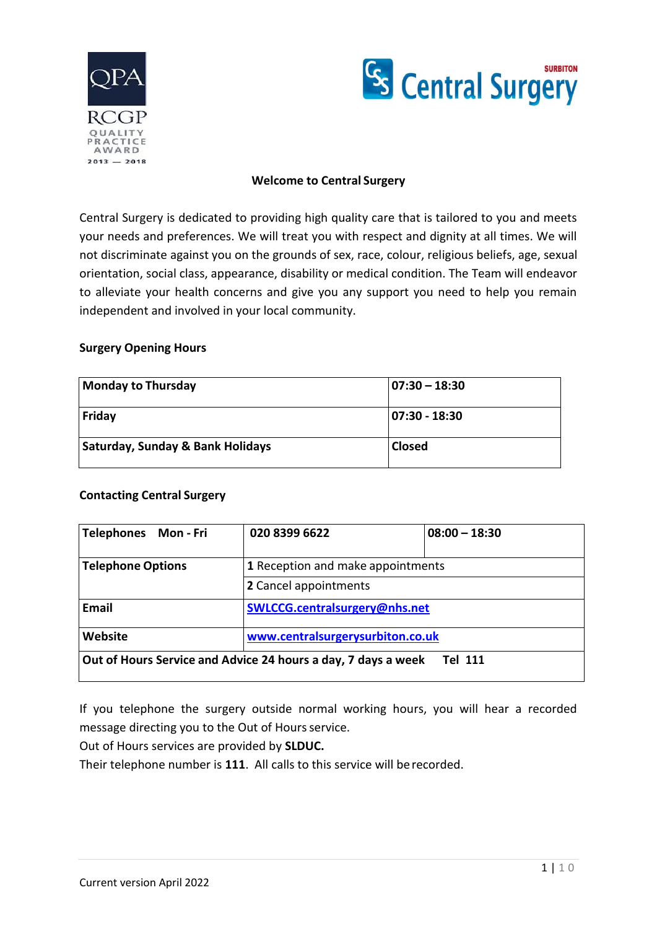



#### **Welcome to Central Surgery**

Central Surgery is dedicated to providing high quality care that is tailored to you and meets your needs and preferences. We will treat you with respect and dignity at all times. We will not discriminate against you on the grounds of sex, race, colour, religious beliefs, age, sexual orientation, social class, appearance, disability or medical condition. The Team will endeavor to alleviate your health concerns and give you any support you need to help you remain independent and involved in your local community.

#### **Surgery Opening Hours**

| <b>Monday to Thursday</b>                   | $07:30 - 18:30$ |
|---------------------------------------------|-----------------|
| Friday                                      | 07:30 - 18:30   |
| <b>Saturday, Sunday &amp; Bank Holidays</b> | <b>Closed</b>   |

### **Contacting Central Surgery**

| Telephones Mon-Fri       | 020 8399 6622                                                 | $08:00 - 18:30$ |
|--------------------------|---------------------------------------------------------------|-----------------|
| <b>Telephone Options</b> | 1 Reception and make appointments                             |                 |
|                          | 2 Cancel appointments                                         |                 |
| Email                    | SWLCCG.centralsurgery@nhs.net                                 |                 |
| Website                  | www.centralsurgerysurbiton.co.uk                              |                 |
|                          | Out of Hours Service and Advice 24 hours a day, 7 days a week | <b>Tel 111</b>  |

If you telephone the surgery outside normal working hours, you will hear a recorded message directing you to the Out of Hours service.

Out of Hours services are provided by **SLDUC.**

Their telephone number is **111**. All calls to this service will berecorded.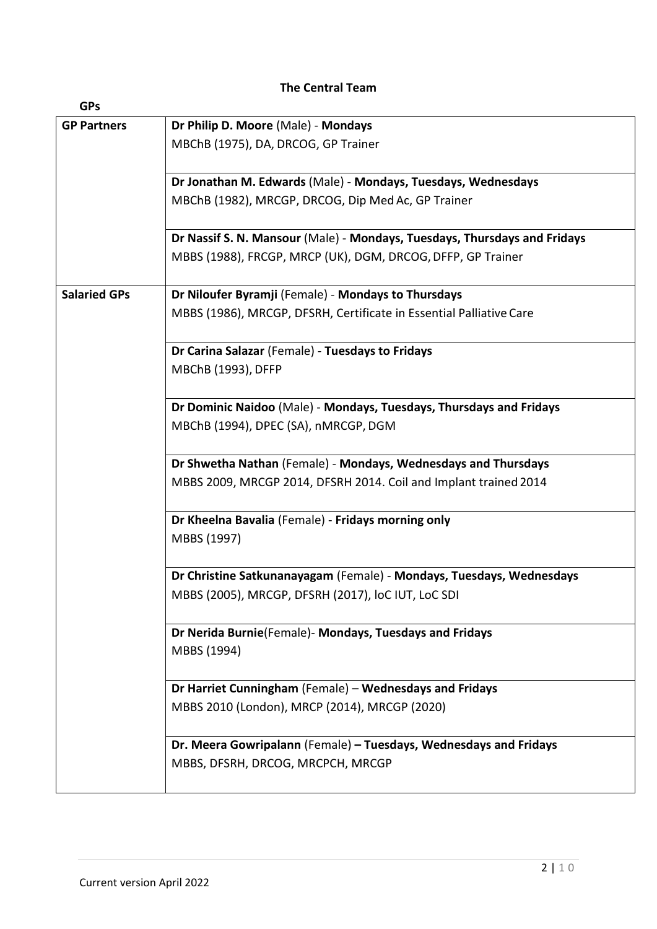### **The Central Team**

| <b>GPs</b>          |                                                                           |
|---------------------|---------------------------------------------------------------------------|
| <b>GP Partners</b>  | Dr Philip D. Moore (Male) - Mondays                                       |
|                     | MBChB (1975), DA, DRCOG, GP Trainer                                       |
|                     |                                                                           |
|                     | Dr Jonathan M. Edwards (Male) - Mondays, Tuesdays, Wednesdays             |
|                     | MBChB (1982), MRCGP, DRCOG, Dip Med Ac, GP Trainer                        |
|                     |                                                                           |
|                     | Dr Nassif S. N. Mansour (Male) - Mondays, Tuesdays, Thursdays and Fridays |
|                     | MBBS (1988), FRCGP, MRCP (UK), DGM, DRCOG, DFFP, GP Trainer               |
|                     |                                                                           |
| <b>Salaried GPs</b> | Dr Niloufer Byramji (Female) - Mondays to Thursdays                       |
|                     | MBBS (1986), MRCGP, DFSRH, Certificate in Essential Palliative Care       |
|                     |                                                                           |
|                     | Dr Carina Salazar (Female) - Tuesdays to Fridays                          |
|                     | MBChB (1993), DFFP                                                        |
|                     | Dr Dominic Naidoo (Male) - Mondays, Tuesdays, Thursdays and Fridays       |
|                     | MBChB (1994), DPEC (SA), nMRCGP, DGM                                      |
|                     |                                                                           |
|                     | Dr Shwetha Nathan (Female) - Mondays, Wednesdays and Thursdays            |
|                     | MBBS 2009, MRCGP 2014, DFSRH 2014. Coil and Implant trained 2014          |
|                     |                                                                           |
|                     | Dr Kheelna Bavalia (Female) - Fridays morning only                        |
|                     | MBBS (1997)                                                               |
|                     |                                                                           |
|                     | Dr Christine Satkunanayagam (Female) - Mondays, Tuesdays, Wednesdays      |
|                     | MBBS (2005), MRCGP, DFSRH (2017), loC IUT, LoC SDI                        |
|                     |                                                                           |
|                     | Dr Nerida Burnie(Female)- Mondays, Tuesdays and Fridays                   |
|                     | MBBS (1994)                                                               |
|                     |                                                                           |
|                     | Dr Harriet Cunningham (Female) - Wednesdays and Fridays                   |
|                     | MBBS 2010 (London), MRCP (2014), MRCGP (2020)                             |
|                     | Dr. Meera Gowripalann (Female) - Tuesdays, Wednesdays and Fridays         |
|                     | MBBS, DFSRH, DRCOG, MRCPCH, MRCGP                                         |
|                     |                                                                           |
|                     |                                                                           |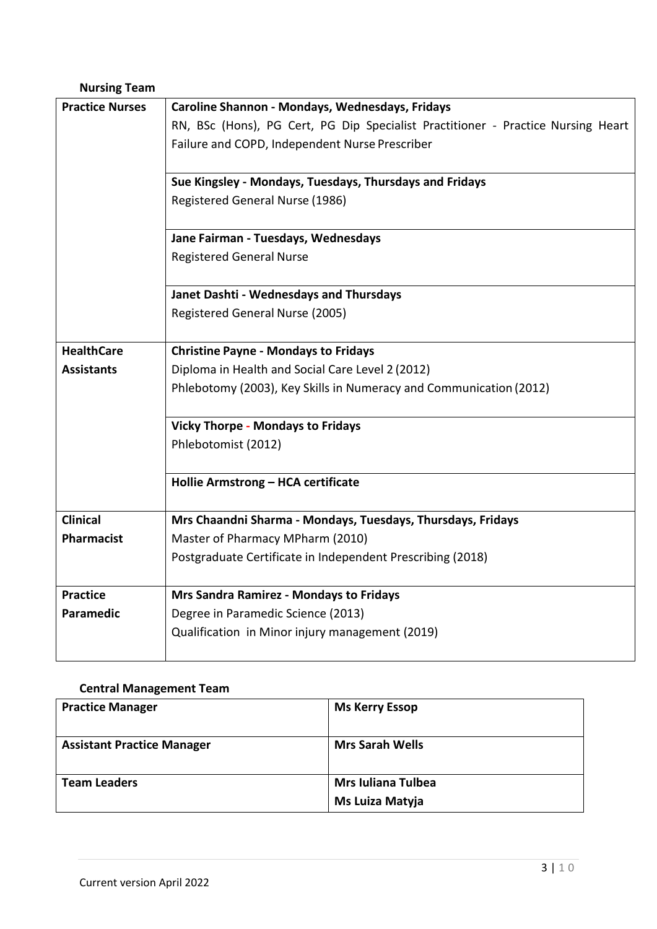# **Nursing Team**

| <b>Practice Nurses</b> | Caroline Shannon - Mondays, Wednesdays, Fridays                                  |  |  |
|------------------------|----------------------------------------------------------------------------------|--|--|
|                        | RN, BSc (Hons), PG Cert, PG Dip Specialist Practitioner - Practice Nursing Heart |  |  |
|                        | Failure and COPD, Independent Nurse Prescriber                                   |  |  |
|                        |                                                                                  |  |  |
|                        | Sue Kingsley - Mondays, Tuesdays, Thursdays and Fridays                          |  |  |
|                        | Registered General Nurse (1986)                                                  |  |  |
|                        |                                                                                  |  |  |
|                        | Jane Fairman - Tuesdays, Wednesdays                                              |  |  |
|                        | <b>Registered General Nurse</b>                                                  |  |  |
|                        |                                                                                  |  |  |
|                        | Janet Dashti - Wednesdays and Thursdays                                          |  |  |
|                        | Registered General Nurse (2005)                                                  |  |  |
|                        |                                                                                  |  |  |
| <b>HealthCare</b>      | <b>Christine Payne - Mondays to Fridays</b>                                      |  |  |
| <b>Assistants</b>      | Diploma in Health and Social Care Level 2 (2012)                                 |  |  |
|                        | Phlebotomy (2003), Key Skills in Numeracy and Communication (2012)               |  |  |
|                        |                                                                                  |  |  |
|                        | <b>Vicky Thorpe - Mondays to Fridays</b>                                         |  |  |
|                        | Phlebotomist (2012)                                                              |  |  |
|                        |                                                                                  |  |  |
|                        | Hollie Armstrong - HCA certificate                                               |  |  |
|                        |                                                                                  |  |  |
| <b>Clinical</b>        | Mrs Chaandni Sharma - Mondays, Tuesdays, Thursdays, Fridays                      |  |  |
| Pharmacist             | Master of Pharmacy MPharm (2010)                                                 |  |  |
|                        | Postgraduate Certificate in Independent Prescribing (2018)                       |  |  |
| <b>Practice</b>        |                                                                                  |  |  |
|                        | <b>Mrs Sandra Ramirez - Mondays to Fridays</b>                                   |  |  |
| <b>Paramedic</b>       | Degree in Paramedic Science (2013)                                               |  |  |
|                        | Qualification in Minor injury management (2019)                                  |  |  |
|                        |                                                                                  |  |  |

# **Central Management Team**

| <b>Practice Manager</b>           | <b>Ms Kerry Essop</b>     |
|-----------------------------------|---------------------------|
| <b>Assistant Practice Manager</b> | <b>Mrs Sarah Wells</b>    |
| <b>Team Leaders</b>               | <b>Mrs Iuliana Tulbea</b> |
|                                   | Ms Luiza Matyja           |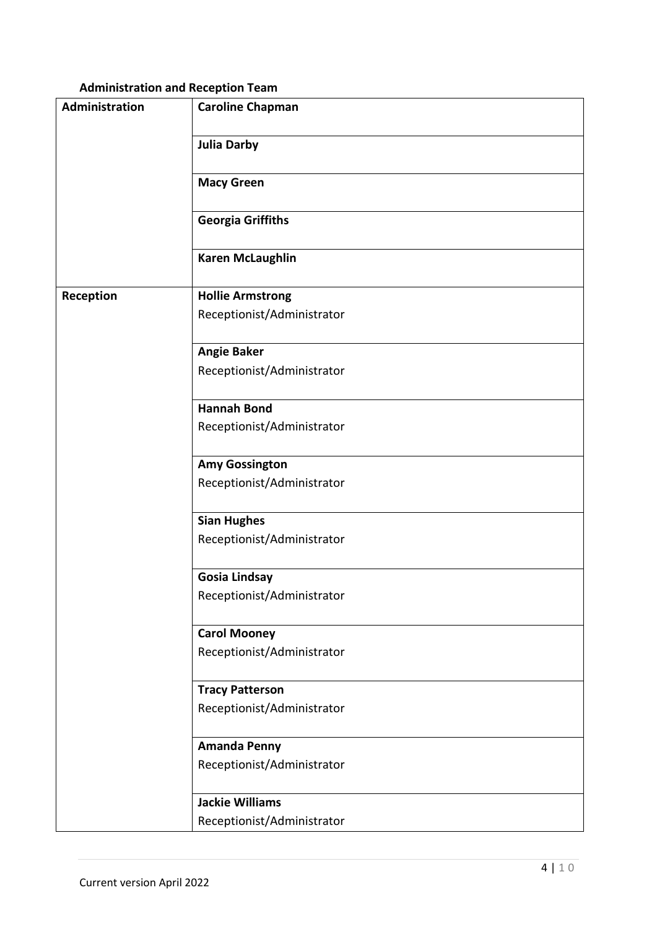# **Administration and Reception Team**

| Administration | <b>Caroline Chapman</b>    |
|----------------|----------------------------|
|                | <b>Julia Darby</b>         |
|                | <b>Macy Green</b>          |
|                | <b>Georgia Griffiths</b>   |
|                | <b>Karen McLaughlin</b>    |
| Reception      | <b>Hollie Armstrong</b>    |
|                | Receptionist/Administrator |
|                | <b>Angie Baker</b>         |
|                | Receptionist/Administrator |
|                | <b>Hannah Bond</b>         |
|                | Receptionist/Administrator |
|                | <b>Amy Gossington</b>      |
|                | Receptionist/Administrator |
|                | <b>Sian Hughes</b>         |
|                | Receptionist/Administrator |
|                | <b>Gosia Lindsay</b>       |
|                | Receptionist/Administrator |
|                | <b>Carol Mooney</b>        |
|                | Receptionist/Administrator |
|                | <b>Tracy Patterson</b>     |
|                | Receptionist/Administrator |
|                | <b>Amanda Penny</b>        |
|                | Receptionist/Administrator |
|                | <b>Jackie Williams</b>     |
|                | Receptionist/Administrator |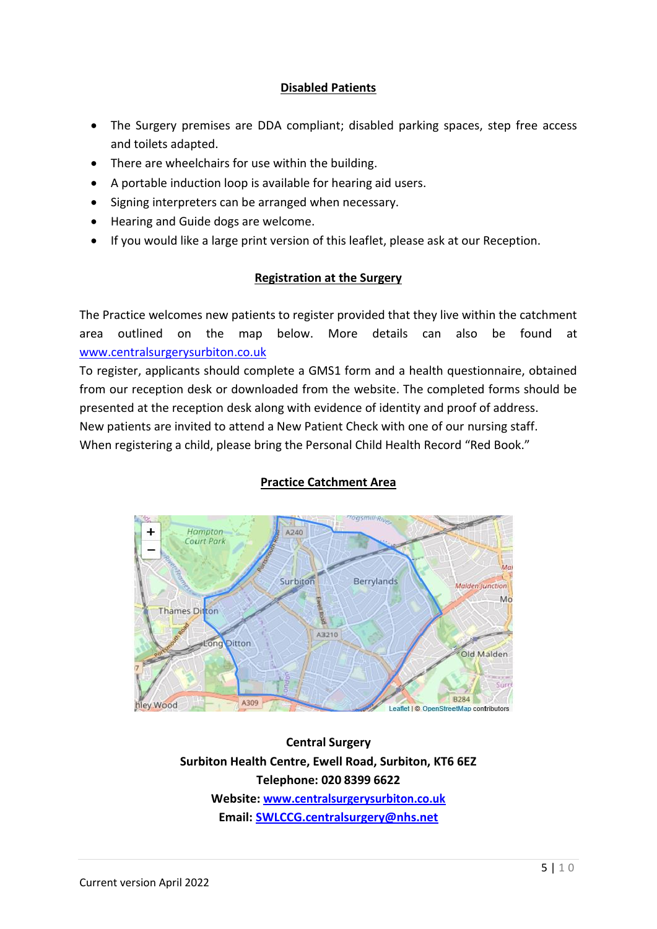### **Disabled Patients**

- The Surgery premises are DDA compliant; disabled parking spaces, step free access and toilets adapted.
- There are wheelchairs for use within the building.
- A portable induction loop is available for hearing aid users.
- Signing interpreters can be arranged when necessary.
- Hearing and Guide dogs are welcome.
- If you would like a large print version of this leaflet, please ask at our Reception.

### **Registration at the Surgery**

The Practice welcomes new patients to register provided that they live within the catchment area outlined on the map below. More details can also be found at [www.centralsurgerysurbiton.co.uk](http://www.centralsurgerysurbiton.co.uk/)

To register, applicants should complete a GMS1 form and a health questionnaire, obtained from our reception desk or downloaded from the website. The completed forms should be presented at the reception desk along with evidence of identity and proof of address. New patients are invited to attend a New Patient Check with one of our nursing staff. When registering a child, please bring the Personal Child Health Record "Red Book."

# **Practice Catchment Area**



**Central Surgery Surbiton Health Centre, Ewell Road, Surbiton, KT6 6EZ Telephone: 020 8399 6622 Website[: www.centralsurgerysurbiton.co.uk](http://www.centralsurgerysurbiton.co.uk/) Email[: SWLCCG.centralsurgery@nhs.net](mailto:SWLCCG.centralsurgery@nhs.net)**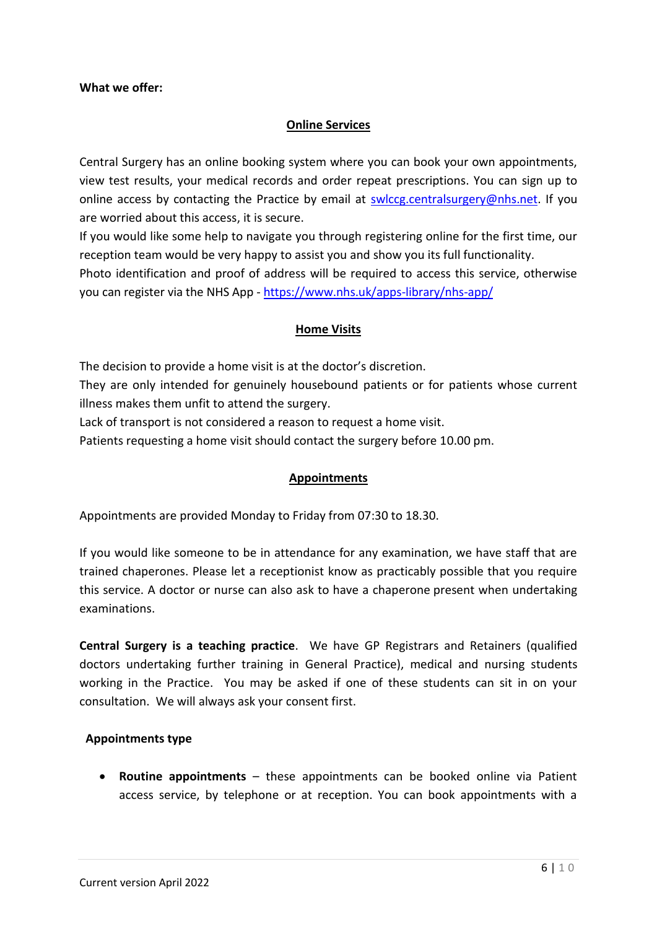#### **What we offer:**

### **Online Services**

Central Surgery has an online booking system where you can book your own appointments, view test results, your medical records and order repeat prescriptions. You can sign up to online access by contacting the Practice by email at [swlccg.centralsurgery@nhs.net.](mailto:swlccg.centralsurgery@nhs.net) If you are worried about this access, it is secure.

If you would like some help to navigate you through registering online for the first time, our reception team would be very happy to assist you and show you its full functionality.

Photo identification and proof of address will be required to access this service, otherwise you can register via the NHS App - <https://www.nhs.uk/apps-library/nhs-app/>

#### **Home Visits**

The decision to provide a home visit is at the doctor's discretion.

They are only intended for genuinely housebound patients or for patients whose current illness makes them unfit to attend the surgery.

Lack of transport is not considered a reason to request a home visit.

Patients requesting a home visit should contact the surgery before 10.00 pm.

#### **Appointments**

Appointments are provided Monday to Friday from 07:30 to 18.30.

If you would like someone to be in attendance for any examination, we have staff that are trained chaperones. Please let a receptionist know as practicably possible that you require this service. A doctor or nurse can also ask to have a chaperone present when undertaking examinations.

**Central Surgery is a teaching practice**. We have GP Registrars and Retainers (qualified doctors undertaking further training in General Practice), medical and nursing students working in the Practice. You may be asked if one of these students can sit in on your consultation. We will always ask your consent first.

#### **Appointments type**

 **Routine appointments** – these appointments can be booked online via Patient access service, by telephone or at reception. You can book appointments with a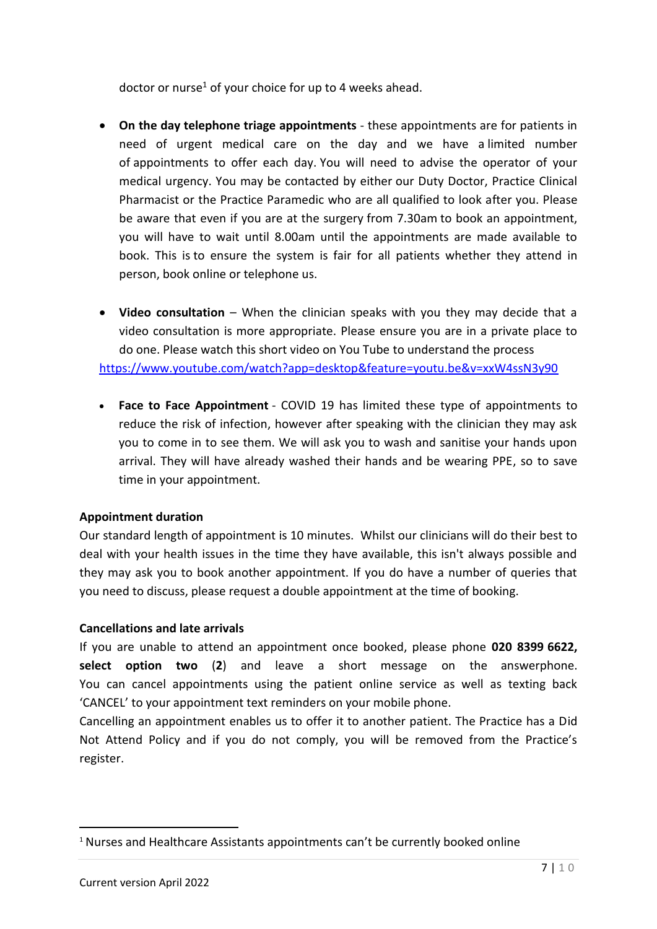doctor or nurse<sup>1</sup> of your choice for up to 4 weeks ahead.

- **On the day telephone triage appointments** these appointments are for patients in need of urgent medical care on the day and we have a limited number of appointments to offer each day. You will need to advise the operator of your medical urgency. You may be contacted by either our Duty Doctor, Practice Clinical Pharmacist or the Practice Paramedic who are all qualified to look after you. Please be aware that even if you are at the surgery from 7.30am to book an appointment, you will have to wait until 8.00am until the appointments are made available to book. This is to ensure the system is fair for all patients whether they attend in person, book online or telephone us.
- **Video consultation** When the clinician speaks with you they may decide that a video consultation is more appropriate. Please ensure you are in a private place to do one. Please watch this short video on You Tube to understand the process <https://www.youtube.com/watch?app=desktop&feature=youtu.be&v=xxW4ssN3y90>
- **Face to Face Appointment** COVID 19 has limited these type of appointments to reduce the risk of infection, however after speaking with the clinician they may ask you to come in to see them. We will ask you to wash and sanitise your hands upon arrival. They will have already washed their hands and be wearing PPE, so to save time in your appointment.

### **Appointment duration**

Our standard length of appointment is 10 minutes. Whilst our clinicians will do their best to deal with your health issues in the time they have available, this isn't always possible and they may ask you to book another appointment. If you do have a number of queries that you need to discuss, please request a double appointment at the time of booking.

#### **Cancellations and late arrivals**

If you are unable to attend an appointment once booked, please phone **020 8399 6622, select option two** (**2**) and leave a short message on the answerphone. You can cancel appointments using the patient online service as well as texting back 'CANCEL' to your appointment text reminders on your mobile phone.

Cancelling an appointment enables us to offer it to another patient. The Practice has a Did Not Attend Policy and if you do not comply, you will be removed from the Practice's register.

1

<sup>&</sup>lt;sup>1</sup> Nurses and Healthcare Assistants appointments can't be currently booked online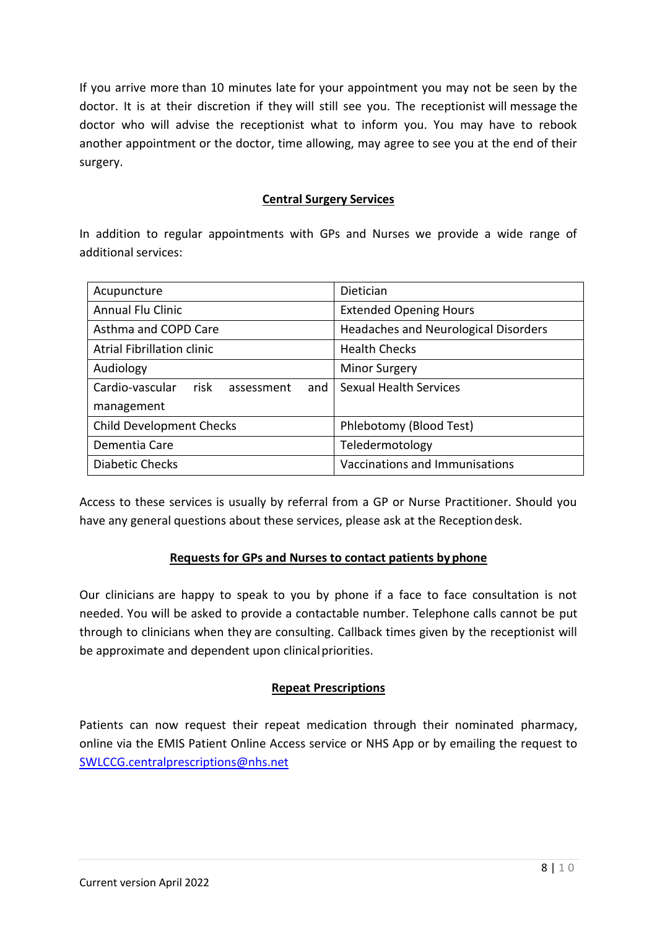If you arrive more than 10 minutes late for your appointment you may not be seen by the doctor. It is at their discretion if they will still see you. The receptionist will message the doctor who will advise the receptionist what to inform you. You may have to rebook another appointment or the doctor, time allowing, may agree to see you at the end of their surgery.

### **Central Surgery Services**

In addition to regular appointments with GPs and Nurses we provide a wide range of additional services:

| Acupuncture                                  | Dietician                            |
|----------------------------------------------|--------------------------------------|
| <b>Annual Flu Clinic</b>                     | <b>Extended Opening Hours</b>        |
| Asthma and COPD Care                         | Headaches and Neurological Disorders |
| <b>Atrial Fibrillation clinic</b>            | <b>Health Checks</b>                 |
| Audiology                                    | <b>Minor Surgery</b>                 |
| Cardio-vascular<br>risk<br>and<br>assessment | Sexual Health Services               |
| management                                   |                                      |
| <b>Child Development Checks</b>              | Phlebotomy (Blood Test)              |
| Dementia Care                                | Teledermotology                      |
| Diabetic Checks                              | Vaccinations and Immunisations       |

Access to these services is usually by referral from a GP or Nurse Practitioner. Should you have any general questions about these services, please ask at the Receptiondesk.

### **Requests for GPs and Nurses to contact patients by phone**

Our clinicians are happy to speak to you by phone if a face to face consultation is not needed. You will be asked to provide a contactable number. Telephone calls cannot be put through to clinicians when they are consulting. Callback times given by the receptionist will be approximate and dependent upon clinical priorities.

### **Repeat Prescriptions**

Patients can now request their repeat medication through their nominated pharmacy, online via the EMIS Patient Online Access service or NHS App or by emailing the request to [SWLCCG.centralprescriptions@nhs.net](mailto:SWLCCG.centralprescriptions@nhs.net)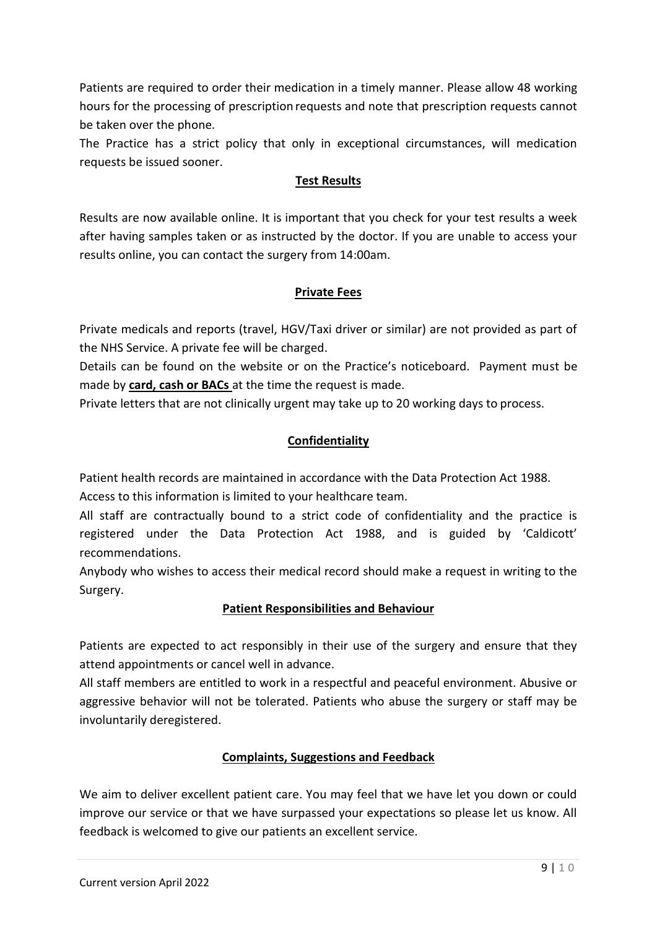Patients are required to order their medication in a timely manner. Please allow 48 working hours for the processing of prescription requests and note that prescription requests cannot be taken over the phone.

The Practice has a strict policy that only in exceptional circumstances, will medication requests be issued sooner.

# **Test Results**

Results are now available online. It is important that you check for your test results a week after having samples taken or as instructed by the doctor. If you are unable to access your results online, you can contact the surgery from 14:00am.

# **Private Fees**

Private medicals and reports (travel, HGV/Taxi driver or similar) are not provided as part of the NHS Service. A private fee will be charged.

Details can be found on the website or on the Practice's noticeboard. Payment must be made by **card, cash or BACs** at the time the request is made.

Private letters that are not clinically urgent may take up to 20 working days to process.

# **Confidentiality**

Patient health records are maintained in accordance with the Data Protection Act 1988.

Access to this information is limited to your healthcare team.

All staff are contractually bound to a strict code of confidentiality and the practice is registered under the Data Protection Act 1988, and is guided by 'Caldicott' recommendations.

Anybody who wishes to access their medical record should make a request in writing to the Surgery.

# **Patient Responsibilities and Behaviour**

Patients are expected to act responsibly in their use of the surgery and ensure that they attend appointments or cancel well in advance.

All staff members are entitled to work in a respectful and peaceful environment. Abusive or aggressive behavior will not be tolerated. Patients who abuse the surgery or staff may be involuntarily deregistered.

# **Complaints, Suggestions and Feedback**

We aim to deliver excellent patient care. You may feel that we have let you down or could improve our service or that we have surpassed your expectations so please let us know. All feedback is welcomed to give our patients an excellent service.